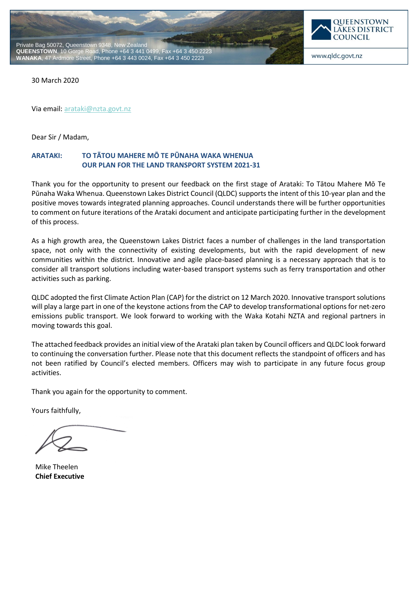



www.qldc.govt.nz

30 March 2020

Via email[: arataki@nzta.govt.nz](mailto:arataki@nzta.govt.nz)

Dear Sir / Madam,

# **ARATAKI: TO TĀTOU MAHERE MŌ TE PŪNAHA WAKA WHENUA OUR PLAN FOR THE LAND TRANSPORT SYSTEM 2021-31**

Thank you for the opportunity to present our feedback on the first stage of Arataki: To Tātou Mahere Mō Te Pūnaha Waka Whenua. Queenstown Lakes District Council (QLDC) supports the intent of this 10-year plan and the positive moves towards integrated planning approaches. Council understands there will be further opportunities to comment on future iterations of the Arataki document and anticipate participating further in the development of this process.

As a high growth area, the Queenstown Lakes District faces a number of challenges in the land transportation space, not only with the connectivity of existing developments, but with the rapid development of new communities within the district. Innovative and agile place-based planning is a necessary approach that is to consider all transport solutions including water-based transport systems such as ferry transportation and other activities such as parking.

QLDC adopted the first Climate Action Plan (CAP) for the district on 12 March 2020. Innovative transport solutions will play a large part in one of the keystone actions from the CAP to develop transformational options for net-zero emissions public transport. We look forward to working with the Waka Kotahi NZTA and regional partners in moving towards this goal.

The attached feedback provides an initial view of the Arataki plan taken by Council officers and QLDC look forward to continuing the conversation further. Please note that this document reflects the standpoint of officers and has not been ratified by Council's elected members. Officers may wish to participate in any future focus group activities.

Thank you again for the opportunity to comment.

Yours faithfully,

Mike Theelen **Chief Executive**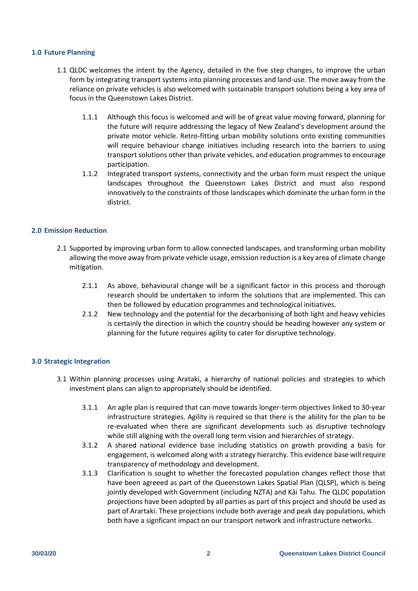### **1.0 Future Planning**

- 1.1 QLDC welcomes the intent by the Agency, detailed in the five step changes, to improve the urban form by integrating transport systems into planning processes and land-use. The move away from the reliance on private vehicles is also welcomed with sustainable transport solutions being a key area of focus in the Queenstown Lakes District.
	- 1.1.1 Although this focus is welcomed and will be of great value moving forward, planning for the future will require addressing the legacy of New Zealand's development around the private motor vehicle. Retro-fitting urban mobility solutions onto existing communities will require behaviour change initiatives including research into the barriers to using transport solutions other than private vehicles, and education programmes to encourage participation.
	- 1.1.2 Integrated transport systems, connectivity and the urban form must respect the unique landscapes throughout the Queenstown Lakes District and must also respond innovatively to the constraints of those landscapes which dominate the urban form in the district.

# **2.0 Emission Reduction**

- 2.1 Supported by improving urban form to allow connected landscapes, and transforming urban mobility allowing the move away from private vehicle usage, emission reduction is a key area of climate change mitigation.
	- 2.1.1 As above, behavioural change will be a significant factor in this process and thorough research should be undertaken to inform the solutions that are implemented. This can then be followed by education programmes and technological initiatives.
	- 2.1.2 New technology and the potential for the decarbonising of both light and heavy vehicles is certainly the direction in which the country should be heading however any system or planning for the future requires agility to cater for disruptive technology.

#### **3.0 Strategic Integration**

- 3.1 Within planning processes using Arataki, a hierarchy of national policies and strategies to which investment plans can align to appropriately should be identified.
	- 3.1.1 An agile plan is required that can move towards longer-term objectives linked to 30-year infrastructure strategies. Agility is required so that there is the ability for the plan to be re-evaluated when there are significant developments such as disruptive technology while still aligning with the overall long term vision and hierarchies of strategy.
	- 3.1.2 A shared national evidence base including statistics on growth providing a basis for engagement, is welcomed along with a strategy hierarchy. This evidence base will require transparency of methodology and development.
	- 3.1.3 Clarification is sought to whether the forecasted population changes reflect those that have been agreeed as part of the Queenstown Lakes Spatial Plan (QLSP), which is being jointly developed with Government (including NZTA) and Kāi Tahu. The QLDC population projections have been adopted by all parties as part of this project and should be used as part of Arartaki. These projections include both average and peak day populations, which both have a signficant impact on our transport network and infrastructure networks.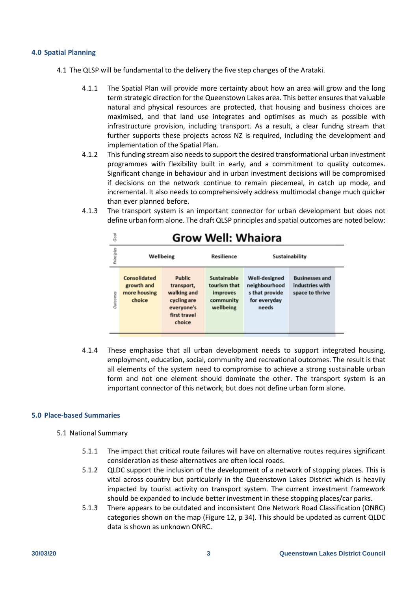### **4.0 Spatial Planning**

- 4.1 The QLSP will be fundamental to the delivery the five step changes of the Arataki.
	- 4.1.1 The Spatial Plan will provide more certainty about how an area will grow and the long term strategic direction for the Queenstown Lakes area. This better ensures that valuable natural and physical resources are protected, that housing and business choices are maximised, and that land use integrates and optimises as much as possible with infrastructure provision, including transport. As a result, a clear fundng stream that further supports these projects across NZ is required, including the development and implementation of the Spatial Plan.
	- 4.1.2 This funding stream also needs to support the desired transformational urban investment programmes with flexibility built in early, and a commitment to quality outcomes. Significant change in behaviour and in urban investment decisions will be compromised if decisions on the network continue to remain piecemeal, in catch up mode, and incremental. It also needs to comprehensively address multimodal change much quicker than ever planned before.
	- 4.1.3 The transport system is an important connector for urban development but does not define urban form alone. The draft QLSP principles and spatial outcomes are noted below:

| Good       | <b>Grow Well: Whaiora</b>                            |                                                                                            |                                                                   |                                                                           |                                                             |  |
|------------|------------------------------------------------------|--------------------------------------------------------------------------------------------|-------------------------------------------------------------------|---------------------------------------------------------------------------|-------------------------------------------------------------|--|
| Principles | Wellbeing                                            |                                                                                            | Resilience                                                        | Sustainability                                                            |                                                             |  |
| Outcomes   | Consolidated<br>growth and<br>more housing<br>choice | Public<br>transport,<br>walking and<br>cycling are<br>everyone's<br>first travel<br>choice | Sustainable<br>tourism that<br>improves<br>community<br>wellbeing | Well-designed<br>neighbourhood<br>s that provide<br>for everyday<br>needs | <b>Businesses and</b><br>industries with<br>space to thrive |  |

4.1.4 These emphasise that all urban development needs to support integrated housing, employment, education, social, community and recreational outcomes. The result is that all elements of the system need to compromise to achieve a strong sustainable urban form and not one element should dominate the other. The transport system is an important connector of this network, but does not define urban form alone.

# **5.0 Place-based Summaries**

- 5.1 National Summary
	- 5.1.1 The impact that critical route failures will have on alternative routes requires significant consideration as these alternatives are often local roads.
	- 5.1.2 QLDC support the inclusion of the development of a network of stopping places. This is vital across country but particularly in the Queenstown Lakes District which is heavily impacted by tourist activity on transport system. The current investment framework should be expanded to include better investment in these stopping places/car parks.
	- 5.1.3 There appears to be outdated and inconsistent One Network Road Classification (ONRC) categories shown on the map (Figure 12, p 34). This should be updated as current QLDC data is shown as unknown ONRC.